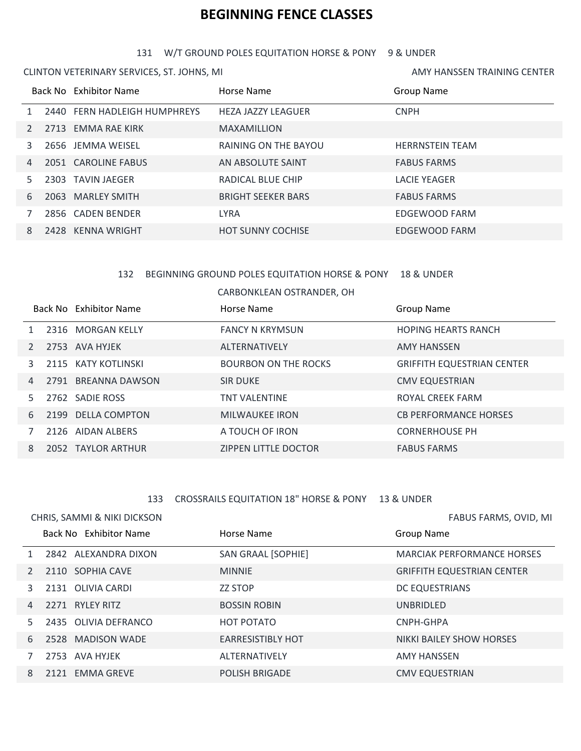# **BEGINNING FENCE CLASSES**

#### W/T GROUND POLES EQUITATION HORSE & PONY 9 & UNDER

AMY HANSSEN TRAINING CENTER

CLINTON VETERINARY SERVICES, ST. JOHNS, MI

|               |      | Back No Exhibitor Name       | Horse Name                | Group Name             |
|---------------|------|------------------------------|---------------------------|------------------------|
|               |      | 2440 FERN HADLEIGH HUMPHREYS | <b>HEZA JAZZY LEAGUER</b> | <b>CNPH</b>            |
| $\mathcal{P}$ |      | 2713 EMMA RAE KIRK           | <b>MAXAMILLION</b>        |                        |
| 3             |      | 2656 JEMMA WEISEL            | RAINING ON THE BAYOU      | <b>HERRNSTEIN TEAM</b> |
| 4             |      | 2051 CAROLINE FABUS          | AN ABSOLUTE SAINT         | <b>FABUS FARMS</b>     |
| 5.            | 2303 | TAVIN JAEGER                 | RADICAL BLUE CHIP         | <b>LACIE YEAGER</b>    |
| 6             |      | 2063 MARLEY SMITH            | <b>BRIGHT SEEKER BARS</b> | <b>FABUS FARMS</b>     |
|               |      | 2856 CADEN BENDER            | <b>LYRA</b>               | EDGEWOOD FARM          |
| 8             |      | 2428 KENNA WRIGHT            | <b>HOT SUNNY COCHISE</b>  | EDGEWOOD FARM          |

# BEGINNING GROUND POLES EQUITATION HORSE & PONY 18 & UNDER

CARBONKLEAN OSTRANDER, OH

|                |  | Back No Exhibitor Name | Horse Name                  | Group Name                        |
|----------------|--|------------------------|-----------------------------|-----------------------------------|
|                |  | 2316 MORGAN KELLY      | <b>FANCY N KRYMSUN</b>      | <b>HOPING HEARTS RANCH</b>        |
|                |  | 2753 AVA HYJEK         | ALTERNATIVELY               | <b>AMY HANSSEN</b>                |
|                |  | 2115 KATY KOTLINSKI    | <b>BOURBON ON THE ROCKS</b> | <b>GRIFFITH EQUESTRIAN CENTER</b> |
| $\overline{4}$ |  | 2791 BREANNA DAWSON    | <b>SIR DUKE</b>             | <b>CMV EQUESTRIAN</b>             |
| 5.             |  | 2762 SADIE ROSS        | <b>TNT VALENTINE</b>        | ROYAL CREEK FARM                  |
| 6              |  | 2199 DELLA COMPTON     | <b>MILWAUKEE IRON</b>       | <b>CB PERFORMANCE HORSES</b>      |
|                |  | 2126 AIDAN ALBERS      | A TOUCH OF IRON             | <b>CORNERHOUSE PH</b>             |
| 8              |  | 2052 TAYLOR ARTHUR     | <b>ZIPPEN LITTLE DOCTOR</b> | <b>FABUS FARMS</b>                |

## CROSSRAILS EQUITATION 18" HORSE & PONY 13 & UNDER

|                | CHRIS, SAMMI & NIKI DICKSON |                          | FABUS FARMS, OVID, MI             |  |
|----------------|-----------------------------|--------------------------|-----------------------------------|--|
|                | Back No Exhibitor Name      | Horse Name               | <b>Group Name</b>                 |  |
|                | 2842 ALEXANDRA DIXON        | SAN GRAAL [SOPHIE]       | <b>MARCIAK PERFORMANCE HORSES</b> |  |
|                | 2110 SOPHIA CAVE            | <b>MINNIE</b>            | <b>GRIFFITH EQUESTRIAN CENTER</b> |  |
| 3              | 2131 OLIVIA CARDI           | <b>ZZ STOP</b>           | DC EQUESTRIANS                    |  |
| $\overline{4}$ | 2271 RYLEY RITZ             | <b>BOSSIN ROBIN</b>      | <b>UNBRIDLED</b>                  |  |
|                | 2435 OLIVIA DEFRANCO        | HOT POTATO               | CNPH-GHPA                         |  |
| 6              | 2528 MADISON WADE           | <b>EARRESISTIBLY HOT</b> | NIKKI BAILEY SHOW HORSES          |  |
|                | 2753 AVA HYJEK              | ALTERNATIVELY            | <b>AMY HANSSEN</b>                |  |
| 8              | 2121 EMMA GREVE             | <b>POLISH BRIGADE</b>    | <b>CMV EQUESTRIAN</b>             |  |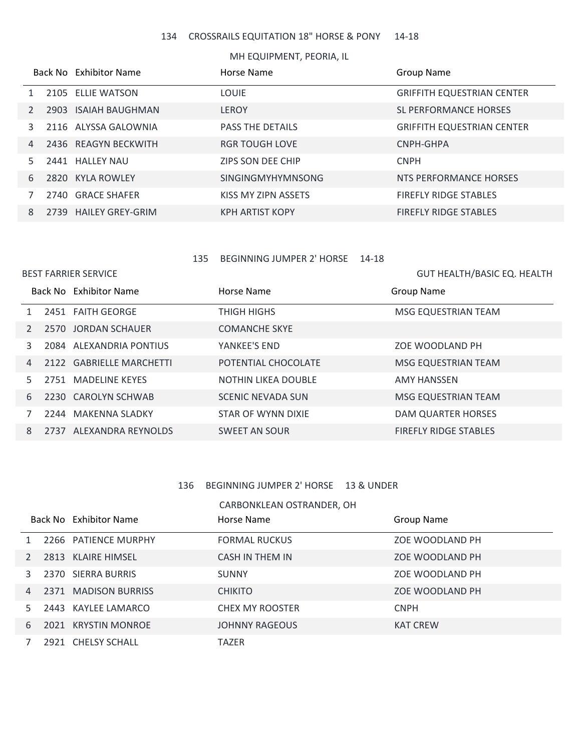#### CROSSRAILS EQUITATION 18" HORSE & PONY 14-18

#### MH EQUIPMENT, PEORIA, IL

|    |      | Back No Exhibitor Name  | Horse Name              | <b>Group Name</b>                 |
|----|------|-------------------------|-------------------------|-----------------------------------|
|    |      | 2105 ELLIE WATSON       | <b>LOUIE</b>            | <b>GRIFFITH EQUESTRIAN CENTER</b> |
|    | 2903 | ISAIAH BAUGHMAN         | <b>LEROY</b>            | SL PERFORMANCE HORSES             |
| 3  |      | 2116 ALYSSA GALOWNIA    | <b>PASS THE DETAILS</b> | <b>GRIFFITH EQUESTRIAN CENTER</b> |
| 4  |      | 2436 REAGYN BECKWITH    | <b>RGR TOUGH LOVE</b>   | CNPH-GHPA                         |
| 5. |      | 2441 HALLEY NAU         | ZIPS SON DEE CHIP       | <b>CNPH</b>                       |
| 6  |      | 2820 KYLA ROWLEY        | SINGINGMYHYMNSONG       | NTS PERFORMANCE HORSES            |
|    |      | 2740 GRACE SHAFER       | KISS MY ZIPN ASSETS     | <b>FIREFLY RIDGE STABLES</b>      |
| 8  | 2739 | <b>HAILEY GREY-GRIM</b> | <b>KPH ARTIST KOPY</b>  | <b>FIREFLY RIDGE STABLES</b>      |

#### BEGINNING JUMPER 2' HORSE 14-18

# BEST FARRIER SERVICE Horse Name Group Name GUT HEALTH/BASIC EQ. HEALTH Back No Exhibitor Name 1 2451 FAITH GEORGE THIGH HIGHS THIGH HIGHS MSG EQUESTRIAN TEAM 2 2570 JORDAN SCHAUER COMANCHE SKYE 2084 ALEXANDRIA PONTIUS YANKEE'S END ZOE WOODLAND PH 4 2122 GABRIELLE MARCHETTI POTENTIAL CHOCOLATE MSG EQUESTRIAN TEAM 5 2751 MADELINE KEYES NOTHIN LIKEA DOUBLE AMY HANSSEN 2230 CAROLYN SCHWAB SCENIC NEVADA SUN MSG EQUESTRIAN TEAM 2244 MAKENNA SLADKY STAR OF WYNN DIXIE DAM QUARTER HORSES 8 2737 ALEXANDRA REYNOLDS SWEET AN SOUR FIREFLY RIDGE STABLES

#### BEGINNING JUMPER 2' HORSE 13 & UNDER

#### CARBONKLEAN OSTRANDER, OH

|                |  | Back No Exhibitor Name | Horse Name             | Group Name      |
|----------------|--|------------------------|------------------------|-----------------|
|                |  | 2266 PATIENCE MURPHY   | <b>FORMAL RUCKUS</b>   | ZOE WOODLAND PH |
|                |  | 2813 KLAIRE HIMSEL     | CASH IN THEM IN        | ZOE WOODLAND PH |
|                |  | 2370 SIERRA BURRIS     | <b>SUNNY</b>           | ZOE WOODLAND PH |
| $\overline{4}$ |  | 2371 MADISON BURRISS   | <b>CHIKITO</b>         | ZOE WOODLAND PH |
| 5.             |  | 2443 KAYLEE LAMARCO    | <b>CHEX MY ROOSTER</b> | <b>CNPH</b>     |
| 6              |  | 2021 KRYSTIN MONROE    | <b>JOHNNY RAGEOUS</b>  | <b>KAT CREW</b> |
|                |  | 2921 CHELSY SCHALL     | <b>TAZER</b>           |                 |